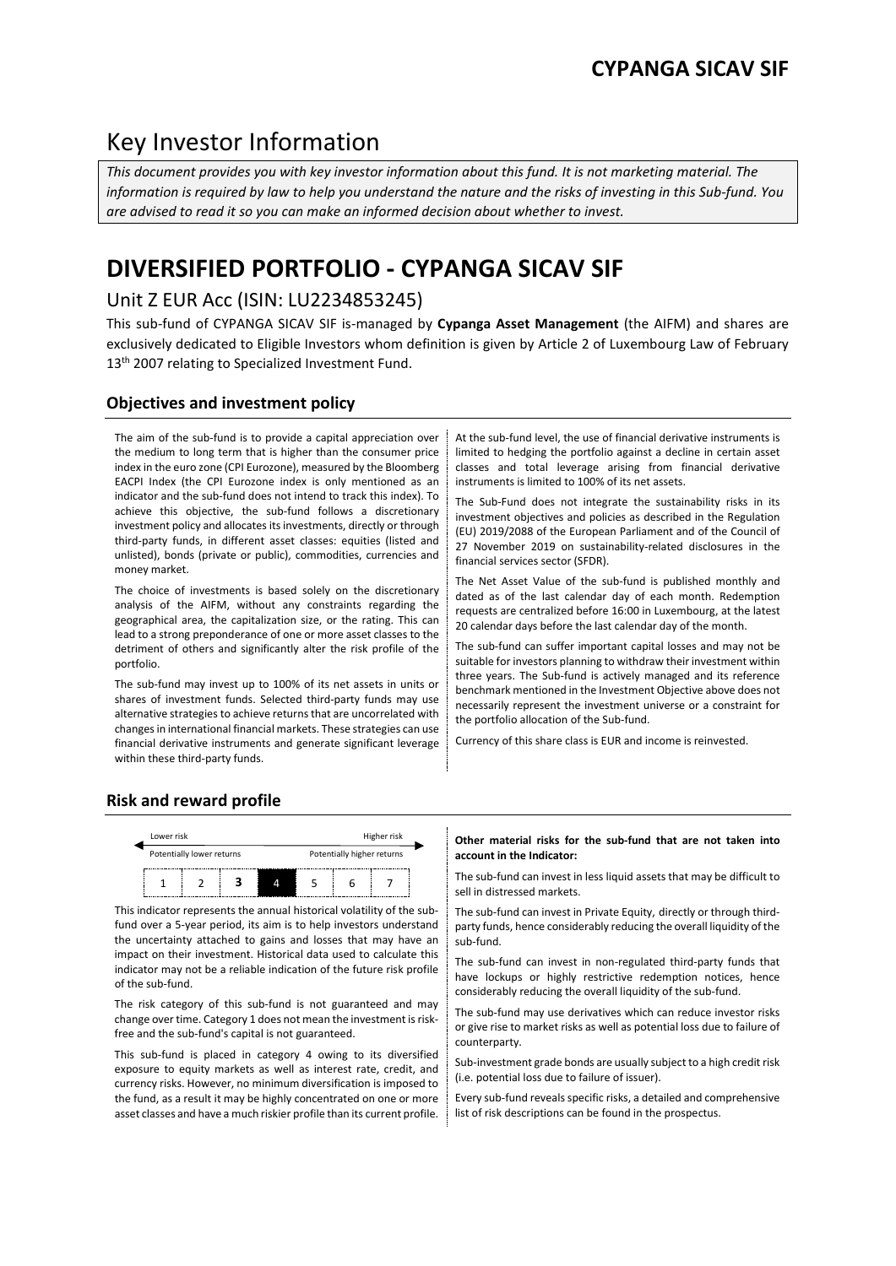# Key Investor Information

*This document provides you with key investor information about this fund. It is not marketing material. The information is required by law to help you understand the nature and the risks of investing in this Sub-fund. You are advised to read it so you can make an informed decision about whether to invest.*

# **DIVERSIFIED PORTFOLIO - CYPANGA SICAV SIF**

# Unit Z EUR Acc (ISIN: LU2234853245)

This sub-fund of CYPANGA SICAV SIF is-managed by **Cypanga Asset Management** (the AIFM) and shares are exclusively dedicated to Eligible Investors whom definition is given by Article 2 of Luxembourg Law of February 13<sup>th</sup> 2007 relating to Specialized Investment Fund.

# **Objectives and investment policy**

The aim of the sub-fund is to provide a capital appreciation over the medium to long term that is higher than the consumer price index in the euro zone (CPI Eurozone), measured by the Bloomberg EACPI Index (the CPI Eurozone index is only mentioned as an indicator and the sub-fund does not intend to track this index). To achieve this objective, the sub-fund follows a discretionary investment policy and allocates its investments, directly or through third-party funds, in different asset classes: equities (listed and unlisted), bonds (private or public), commodities, currencies and money market.

The choice of investments is based solely on the discretionary analysis of the AIFM, without any constraints regarding the geographical area, the capitalization size, or the rating. This can lead to a strong preponderance of one or more asset classes to the detriment of others and significantly alter the risk profile of the portfolio.

The sub-fund may invest up to 100% of its net assets in units or shares of investment funds. Selected third-party funds may use alternative strategies to achieve returns that are uncorrelated with changes in international financial markets. These strategies can use financial derivative instruments and generate significant leverage within these third-party funds.

At the sub-fund level, the use of financial derivative instruments is limited to hedging the portfolio against a decline in certain asset classes and total leverage arising from financial derivative instruments is limited to 100% of its net assets.

The Sub-Fund does not integrate the sustainability risks in its investment objectives and policies as described in the Regulation (EU) 2019/2088 of the European Parliament and of the Council of 27 November 2019 on sustainability-related disclosures in the financial services sector (SFDR).

The Net Asset Value of the sub-fund is published monthly and dated as of the last calendar day of each month. Redemption requests are centralized before 16:00 in Luxembourg, at the latest 20 calendar days before the last calendar day of the month.

The sub-fund can suffer important capital losses and may not be suitable for investors planning to withdraw their investment within three years. The Sub-fund is actively managed and its reference benchmark mentioned in the Investment Objective above does not necessarily represent the investment universe or a constraint for the portfolio allocation of the Sub-fund.

Currency of this share class is EUR and income is reinvested.

# **Risk and reward profile**



This indicator represents the annual historical volatility of the subfund over a 5-year period, its aim is to help investors understand the uncertainty attached to gains and losses that may have an impact on their investment. Historical data used to calculate this indicator may not be a reliable indication of the future risk profile of the sub-fund.

The risk category of this sub-fund is not guaranteed and may change over time. Category 1 does not mean the investment is riskfree and the sub-fund's capital is not guaranteed.

This sub-fund is placed in category 4 owing to its diversified exposure to equity markets as well as interest rate, credit, and currency risks. However, no minimum diversification is imposed to the fund, as a result it may be highly concentrated on one or more asset classes and have a much riskier profile than its current profile.

#### **Other material risks for the sub-fund that are not taken into account in the Indicator:**

 $\frac{1}{1}$   $\frac{1}{2}$   $\frac{1}{3}$   $\frac{1}{4}$   $\frac{1}{5}$   $\frac{1}{6}$   $\frac{1}{7}$  The sub-fund can invest in less liquid assets that may be difficult to sell in distressed markets.

> The sub-fund can invest in Private Equity, directly or through thirdparty funds, hence considerably reducing the overall liquidity of the sub-fund.

> The sub-fund can invest in non-regulated third-party funds that have lockups or highly restrictive redemption notices, hence considerably reducing the overall liquidity of the sub-fund.

> The sub-fund may use derivatives which can reduce investor risks or give rise to market risks as well as potential loss due to failure of counterparty.

> Sub-investment grade bonds are usually subject to a high credit risk (i.e. potential loss due to failure of issuer).

> Every sub-fund reveals specific risks, a detailed and comprehensive list of risk descriptions can be found in the prospectus.